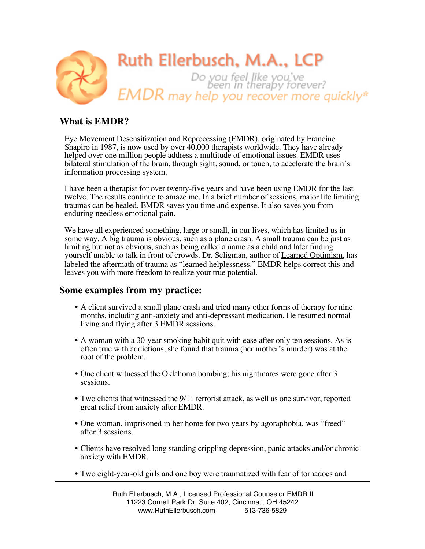

# **What is EMDR?**

Eye Movement Desensitization and Reprocessing (EMDR), originated by Francine Shapiro in 1987, is now used by over 40,000 therapists worldwide. They have already helped over one million people address a multitude of emotional issues. EMDR uses bilateral stimulation of the brain, through sight, sound, or touch, to accelerate the brain's information processing system.

I have been a therapist for over twenty-five years and have been using EMDR for the last twelve. The results continue to amaze me. In a brief number of sessions, major life limiting traumas can be healed. EMDR saves you time and expense. It also saves you from enduring needless emotional pain.

We have all experienced something, large or small, in our lives, which has limited us in some way. A big trauma is obvious, such as a plane crash. A small trauma can be just as limiting but not as obvious, such as being called a name as a child and later finding yourself unable to talk in front of crowds. Dr. Seligman, author of Learned Optimism, has labeled the aftermath of trauma as "learned helplessness." EMDR helps correct this and leaves you with more freedom to realize your true potential.

## **Some examples from my practice:**

- A client survived a small plane crash and tried many other forms of therapy for nine months, including anti-anxiety and anti-depressant medication. He resumed normal living and flying after 3 EMDR sessions.
- A woman with a 30-year smoking habit quit with ease after only ten sessions. As is often true with addictions, she found that trauma (her mother's murder) was at the root of the problem.
- One client witnessed the Oklahoma bombing; his nightmares were gone after 3 sessions.
- Two clients that witnessed the 9/11 terrorist attack, as well as one survivor, reported great relief from anxiety after EMDR.
- One woman, imprisoned in her home for two years by agoraphobia, was "freed" after 3 sessions.
- Clients have resolved long standing crippling depression, panic attacks and/or chronic anxiety with EMDR.
- Two eight-year-old girls and one boy were traumatized with fear of tornadoes and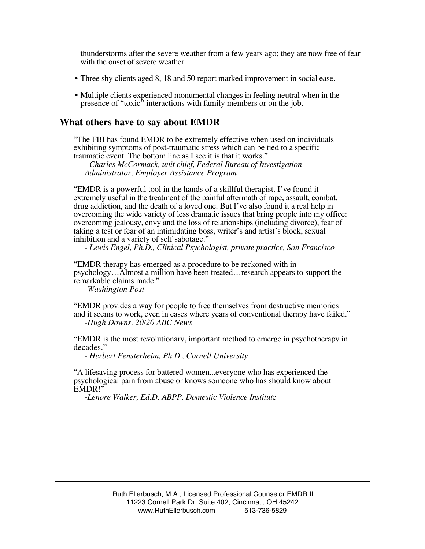thunderstorms after the severe weather from a few years ago; they are now free of fear with the onset of severe weather.

- Three shy clients aged 8, 18 and 50 report marked improvement in social ease.
- Multiple clients experienced monumental changes in feeling neutral when in the presence of "toxic" interactions with family members or on the job.

#### **What others have to say about EMDR**

"The FBI has found EMDR to be extremely effective when used on individuals exhibiting symptoms of post-traumatic stress which can be tied to a specific traumatic event. The bottom line as I see it is that it works."

*- Charles McCormack, unit chief, Federal Bureau of Investigation Administrator, Employer Assistance Program* 

"EMDR is a powerful tool in the hands of a skillful therapist. I've found it extremely useful in the treatment of the painful aftermath of rape, assault, combat, drug addiction, and the death of a loved one. But I've also found it a real help in overcoming the wide variety of less dramatic issues that bring people into my office: overcoming jealousy, envy and the loss of relationships (including divorce), fear of taking a test or fear of an intimidating boss, writer's and artist's block, sexual inhibition and a variety of self sabotage."

*- Lewis Engel, Ph.D., Clinical Psychologist, private practice, San Francisco* 

"EMDR therapy has emerged as a procedure to be reckoned with in psychology…Almost a million have been treated…research appears to support the remarkable claims made."

*-Washington Post*

"EMDR provides a way for people to free themselves from destructive memories and it seems to work, even in cases where years of conventional therapy have failed." *-Hugh Downs, 20/20 ABC News*

"EMDR is the most revolutionary, important method to emerge in psychotherapy in decades."

*- Herbert Fensterheim, Ph.D., Cornell University* 

"A lifesaving process for battered women...everyone who has experienced the psychological pain from abuse or knows someone who has should know about EMDR!"

*-Lenore Walker, Ed.D. ABPP, Domestic Violence Institut*e